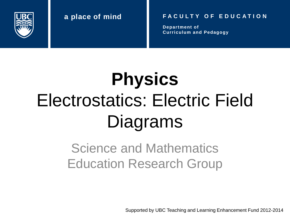

#### **a place of mind F A C U L T Y O F E D U C A T I O N**

**Department of Curriculum and Pedagogy**

# **Physics** Electrostatics: Electric Field Diagrams

### Science and Mathematics Education Research Group

Supported by UBC Teaching and Learning Enhancement Fund 2012-2014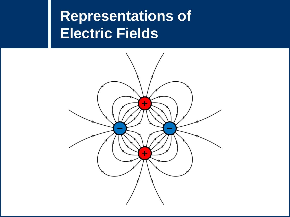### **Representations of Electric Fields**

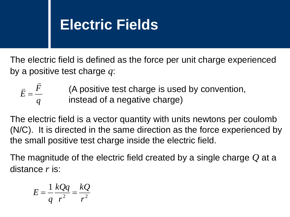### **Electric Fields**

The electric field is defined as the force per unit charge experienced by a positive test charge *q*:

| $\vec{E} = \frac{F}{\sqrt{2}}$ | (A positive test charge is used by convention, |
|--------------------------------|------------------------------------------------|
| $\boldsymbol{a}$               | instead of a negative charge)                  |

The electric field is a vector quantity with units newtons per coulomb (N/C). It is directed in the same direction as the force experienced by the small positive test charge inside the electric field.

The magnitude of the electric field created by a single charge *Q* at a distance *r* is:

$$
E = \frac{1}{q} \frac{kQq}{r^2} = \frac{kQ}{r^2}
$$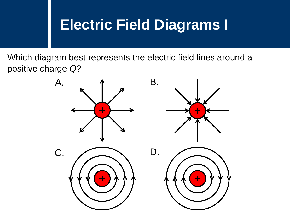### **Electric Field Diagrams I**

Which diagram best represents the electric field lines around a positive charge *Q*?

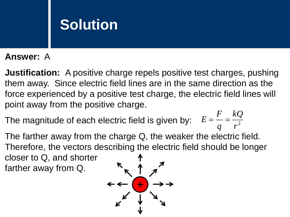#### **Answer:** A

**Justification:** A positive charge repels positive test charges, pushing them away. Since electric field lines are in the same direction as the force experienced by a positive test charge, the electric field lines will point away from the positive charge.

The magnitude of each electric field is given by:  $E = \frac{1}{q} = \frac{R}{r^2}$ *kQ q F*  $E = \frac{I}{I}$ 

The farther away from the charge Q, the weaker the electric field. Therefore, the vectors describing the electric field should be longer closer to Q, and shorter farther away from Q.

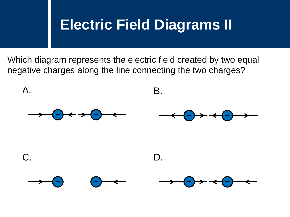### **Electric Field Diagrams II**

Which diagram represents the electric field created by two equal negative charges along the line connecting the two charges?

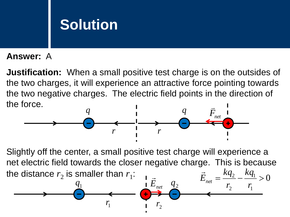#### **Answer:** A

**Justification:** When a small positive test charge is on the outsides of the two charges, it will experience an attractive force pointing towards the two negative charges. The electric field points in the direction of the force.  $\overline{\phantom{a}}$ 



Slightly off the center, a small positive test charge will experience a net electric field towards the closer negative charge. This is because the distance  $r_2$  is smaller than  $r_1$ : 0 1 2  $=\frac{\kappa q_2}{\kappa q_1}>$ *kq*  $\vec{E}_{net} = \frac{kq}{r}$  $\rightarrow$ 

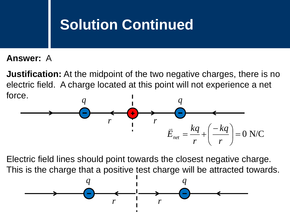### **Solution Continued**

#### **Answer:** A

**Justification:** At the midpoint of the two negative charges, there is no electric field. A charge located at this point will not experience a net force.



Electric field lines should point towards the closest negative charge. This is the charge that a positive test charge will be attracted towards.

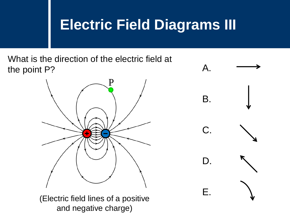### **Electric Field Diagrams III**

What is the direction of the electric field at the point P? A.



(Electric field lines of a positive

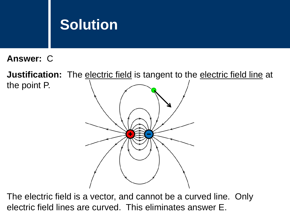**Answer:** C

**Justification:** The electric field is tangent to the electric field line at the point P.

The electric field is a vector, and cannot be a curved line. Only electric field lines are curved. This eliminates answer E.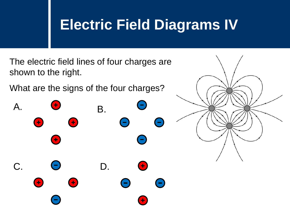## **Electric Field Diagrams IV**

The electric field lines of four charges are shown to the right.

What are the signs of the four charges?



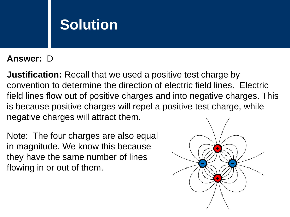#### **Answer:** D

**Justification:** Recall that we used a positive test charge by convention to determine the direction of electric field lines. Electric field lines flow out of positive charges and into negative charges. This is because positive charges will repel a positive test charge, while negative charges will attract them.

Note: The four charges are also equal in magnitude. We know this because they have the same number of lines flowing in or out of them.

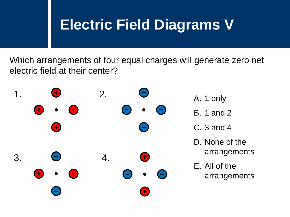## **Electric Field Diagrams V**

Which arrangements of four equal charges will generate zero net electric field at their center?

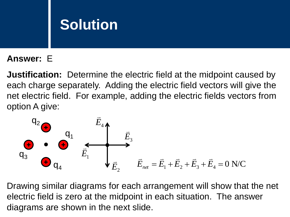### **Answer:** E

**Justification:** Determine the electric field at the midpoint caused by each charge separately. Adding the electric field vectors will give the net electric field. For example, adding the electric fields vectors from option A give:



Drawing similar diagrams for each arrangement will show that the net electric field is zero at the midpoint in each situation. The answer diagrams are shown in the next slide.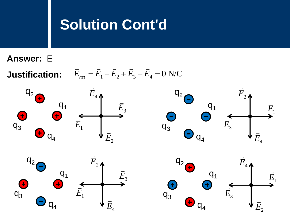### **Solution Cont'd**

- **Answer:** E
- **Justification:**

$$
\vec{E}_{net} = \vec{E}_1 + \vec{E}_2 + \vec{E}_3 + \vec{E}_4 = 0 \text{ N/C}
$$

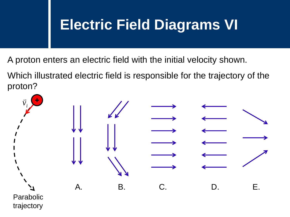## **Electric Field Diagrams VI**

A proton enters an electric field with the initial velocity shown.

Which illustrated electric field is responsible for the trajectory of the proton?

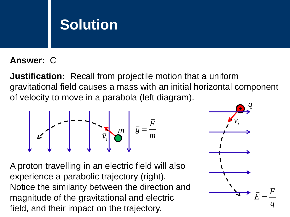#### **Answer:** C

**Justification:** Recall from projectile motion that a uniform gravitational field causes a mass with an initial horizontal component of velocity to move in a parabola (left diagram).

$$
\mathbf{E} = \begin{bmatrix} -\mathbf{I} & \mathbf{I} \\ \mathbf{I} & \mathbf{I} \\ \mathbf{I} & \mathbf{I} \end{bmatrix} \mathbf{I} - \mathbf{I} \begin{bmatrix} -\mathbf{I} & \mathbf{I} \\ \mathbf{I} & \mathbf{I} \\ \mathbf{I} & \mathbf{I} \end{bmatrix} \mathbf{B} = \frac{\mathbf{F}}{m}
$$

A proton travelling in an electric field will also experience a parabolic trajectory (right). Notice the similarity between the direction and magnitude of the gravitational and electric field, and their impact on the trajectory. *<sup>m</sup>*

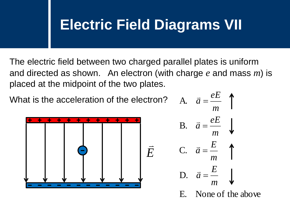### **Electric Field Diagrams VII**

The electric field between two charged parallel plates is uniform and directed as shown. An electron (with charge *e* and mass *m*) is placed at the midpoint of the two plates.

What is the acceleration of the electron?



A. 
$$
\vec{a} = \frac{eE}{m}
$$
  
\nB.  $\vec{a} = \frac{eE}{m}$   
\nC.  $\vec{a} = \frac{E}{m}$   
\nD.  $\vec{a} = \frac{E}{m}$ 

E. None of the above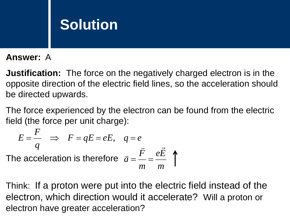#### **Answer:** A

**Justification:** The force on the negatively charged electron is in the opposite direction of the electric field lines, so the acceleration should be directed upwards.

The force experienced by the electron can be found from the electric field (the force per unit charge):

$$
E = \frac{F}{q} \implies F = qE = eE, \quad q = e
$$
  
The acceleration is therefore  $\vec{a} = \frac{\vec{F}}{r} = \frac{e\vec{E}}{r}$ 

Think: If a proton were put into the electric field instead of the electron, which direction would it accelerate? Will a proton or electron have greater acceleration?

*m*

*m*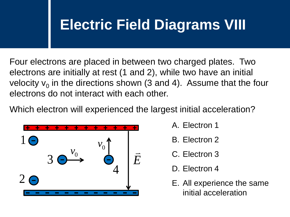## **Electric Field Diagrams VIII**

Four electrons are placed in between two charged plates. Two electrons are initially at rest (1 and 2), while two have an initial velocity  $v_0$  in the directions shown (3 and 4). Assume that the four electrons do not interact with each other.

Which electron will experienced the largest initial acceleration?



- A. Electron 1
- B. Electron 2
- C. Electron 3
- D. Electron 4
- E. All experience the same initial acceleration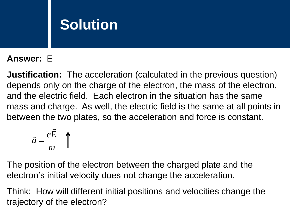### **Answer:** E

**Justification:** The acceleration (calculated in the previous question) depends only on the charge of the electron, the mass of the electron, and the electric field. Each electron in the situation has the same mass and charge. As well, the electric field is the same at all points in between the two plates, so the acceleration and force is constant.

$$
\vec{a} = \frac{e\vec{E}}{m} \quad \uparrow
$$

The position of the electron between the charged plate and the electron's initial velocity does not change the acceleration.

Think: How will different initial positions and velocities change the trajectory of the electron?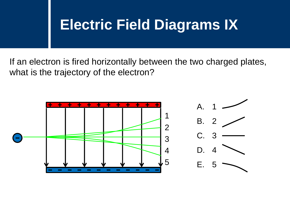### **Electric Field Diagrams IX**

If an electron is fired horizontally between the two charged plates, what is the trajectory of the electron?